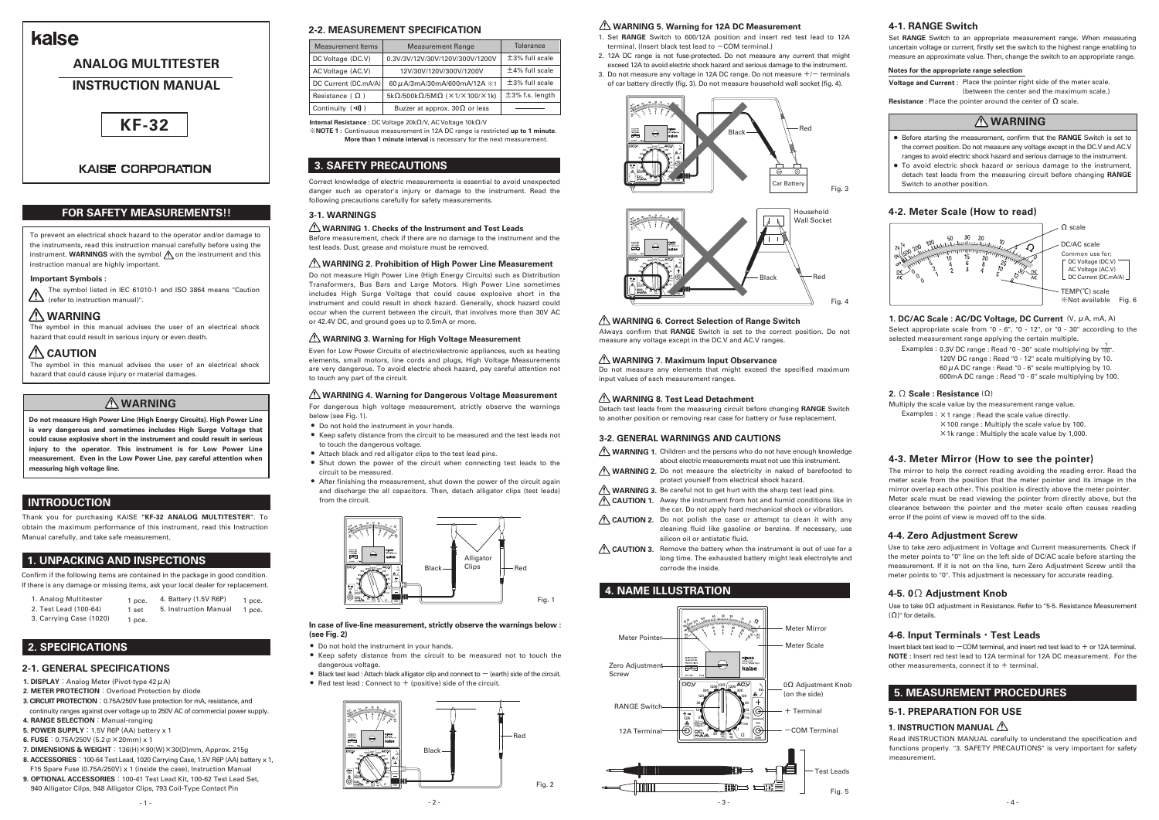# **3. SAFETY PRECAUTIONS**

**Do not measure High Power Line (High Energy Circuits). High Power Line is very dangerous and sometimes includes High Surge Voltage that could cause explosive short in the instrument and could result in serious injury to the operator. This instrument is for Low Power Line measurement. Even in the Low Power Line, pay careful attention when measuring high voltage line.**



**Voltage and Current**: Place the pointer right side of the meter scale. (between the center and the maximum scale.)

- **1. DISPLAY:**Analog Meter (Pivot-type 42μA)
- 2. METER PROTECTION : Overload Protection by diode
- **3. CIRCUIT PROTECTION:**0.75A/250V fuse protection for mA, resistance, and continuity ranges against over voltage up to 250V AC of commercial power supply.
- **4. RANGE SELECTION:**Manual-ranging
- **5. POWER SUPPLY:**1.5V R6P (AA) battery x 1
- **6. FUSE:**0.75A/250V (5.2φ×20mm) x 1
- **7. DIMENSIONS & WEIGHT:**136(H)×90(W)×30(D)mm, Approx. 215g
- **8. ACCESSORIES:**100-64 Test Lead, 1020 Carrying Case, 1.5V R6P (AA) battery x 1, F15 Spare Fuse (0.75A/250V) x 1 (inside the case), Instruction Manual
- **9. OPTIONAL ACCESSORIES:**100-41 Test Lead Kit, 100-62 Test Lead Set, 940 Alligator Cilps, 948 Alligator Clips, 793 Coil-Type Contact Pin
- Before starting the measurement, confirm that the **RANGE** Switch is set to the correct position. Do not measure any voltage except in the DC.V and AC.V ranges to avoid electric shock hazard and serious damage to the instrument.
- To avoid electric shock hazard or serious damage to the instrument, detach test leads from the measuring circuit before changing **RANGE** Switch to another position.

Select appropriate scale from  $"0 - 6"$ ,  $"0 - 12"$ , or  $"0 - 30"$  according to the selected measurement range applying the certain multiple.



# **KAISE CORPORATION**

# kaise

# **ANALOG MULTITESTER**

# **INSTRUCTION MANUAL**

# **INTRODUCTION**

## **2. SPECIFICATIONS**

Examples : 0.3V DC range : Read "0 - 30" scale multiplying by  $\frac{1}{100}$ . 120V DC range : Read "0 - 12" scale multiplying by 10.  $60\,\mu$ A DC range : Read "0 - 6" scale multiplying by 10. 600mA DC range : Read "0 - 6" scale multiplying by 100.

Thank you for purchasing KAISE **"KF-32 ANALOG MULTITESTER"**. To obtain the maximum performance of this instrument, read this Instruction Manual carefully, and take safe measurement.



Confirm if the following items are contained in the package in good condition. If there is any damage or missing items, ask your local dealer for replacement.



# **1. UNPACKING AND INSPECTIONS**

| 1. Analog Multitester   | 1 pce. | 4. Battery (1.5V R6P) | 1 pce. |
|-------------------------|--------|-----------------------|--------|
| 2. Test Lead (100-64)   | 1 set  | 5. Instruction Manual | 1 pce. |
| 3. Carrying Case (1020) | 1 pce. |                       |        |



The symbol listed in IEC 61010-1 and ISO 3864 means "Caution (refer to instruction manual)".

# **FOR SAFETY MEASUREMENTS!!**

# **4-1. RANGE Switch**



# **4. NAME ILLUSTRATION**

Set **RANGE** Switch to an appropriate measurement range. When measuring uncertain voltage or current, firstly set the switch to the highest range enabling to measure an approximate value. Then, change the switch to an appropriate range.

| <b>Measurement Items</b> | <b>Measurement Range</b>                                                | <b>Tolerance</b>    |
|--------------------------|-------------------------------------------------------------------------|---------------------|
| DC Voltage (DC.V)        | 0.3V/3V/12V/30V/120V/300V/1200V                                         | $\pm$ 3% full scale |
| AC Voltage (AC.V)        | 12V/30V/120V/300V/1200V                                                 | $±4%$ full scale    |
| DC Current (DC.mA/A)     | 60 µ A/3mA/30mA/600mA/12A $*1$                                          | $±3%$ full scale    |
| Resistance $(\Omega)$    | $5k\Omega/500k\Omega/5M\Omega$ ( $\times$ 1/ $\times$ 100/ $\times$ 1k) | $±3%$ f.s. length   |
| Continuity $( \cdot )$ ) | Buzzer at approx. 30 $\Omega$ or less                                   |                     |

# **4-2. Meter Scale (How to read)**

## **1. DC/AC Scale : AC/DC Voltage, DC Current** (V, μA, mA, A)

#### **2. Ω Scale : Resistance** (Ω)

- ×100 range : Multiply the scale value by 100.
- ×1k range : Multiply the scale value by 1,000.

**Resistance :** Place the pointer around the center of Ω scale.

- Do not hold the instrument in your hands.
- Keep safety distance from the circuit to be measured and the test leads not to touch the dangerous voltage.
- Attach black and red alligator clips to the test lead pins.
- Shut down the power of the circuit when connecting test leads to the circuit to be measured.
- After finishing the measurement, shut down the power of the circuit again and discharge the all capacitors. Then, detach alligator clips (test leads) from the circuit.

#### **Notes for the appropriate range selection**

Multiply the scale value by the measurement range value.

Examples :  $\times$ 1 range : Read the scale value directly.

To prevent an electrical shock hazard to the operator and/or damage to the instruments, read this instruction manual carefully before using the instrument. WARNINGS with the symbol  $\bigwedge$  on the instrument and this instruction manual are highly important.

#### **Important Symbols :**

# **WARNING**

The symbol in this manual advises the user of an electrical shock hazard that could result in serious injury or even death.

# $\Lambda$  CAUTION

The symbol in this manual advises the user of an electrical shock hazard that could cause injury or material damages.

# **WARNING**

#### **2-1. GENERAL SPECIFICATIONS**

**Internal Resistance :** DC Voltage 20kΩ/V, AC Voltage 10kΩ/V

**※NOTE 1 :** Continuous measurement in 12A DC range is restricted **up to 1 minute**. **More than 1 minute interval** is necessary for the next measurement.

Correct knowledge of electric measurements is essential to avoid unexpected danger such as operator's injury or damage to the instrument. Read the following precautions carefully for safety measurements.

Before measurement, check if there are no damage to the instrument and the test leads. Dust, grease and moisture must be removed.

Even for Low Power Circuits of electric/electronic appliances, such as heating elements, small motors, line cords and plugs, High Voltage Measurements are very dangerous. To avoid electric shock hazard, pay careful attention not to touch any part of the circuit.

# <u>A</u> WARNING 4. Warning for Dangerous Voltage Measurement <u>A</u> WARNING 8. Test Lead Detachment

Detach test leads from the measuring circuit before changing **RANGE** Switch to another position or removing rear case for battery or fuse replacement.

## **3-1. WARNINGS**

## **WARNING 1. Checks of the Instrument and Test Leads**

#### **WARNING 2. Prohibition of High Power Line Measurement**

### **WARNING 3. Warning for High Voltage Measurement**



#### **WARNING 7. Maximum Input Observance**

#### **WARNING 6. Correct Selection of Range Switch**

# **WARNING 5. Warning for 12A DC Measurement**

Do not measure High Power Line (High Energy Circuits) such as Distribution Transformers, Bus Bars and Large Motors. High Power Line sometimes includes High Surge Voltage that could cause explosive short in the instrument and could result in shock hazard. Generally, shock hazard could occur when the current between the circuit, that involves more than 30V AC or 42.4V DC, and ground goes up to 0.5mA or more.

| WARNING 1. Children and the persons who do not have enough knowledge        |
|-----------------------------------------------------------------------------|
| about electric measurements must not use this instrument.                   |
| WARNING 2. Do not measure the electricity in naked of barefooted to         |
| protect yourself from electrical shock hazard.                              |
| <b>WARNING 3.</b> Be careful not to get hurt with the sharp test lead pins. |
| <b>CAUTION 1.</b> Away the instrument from hot and humid conditions like in |
| the car. Do not apply hard mechanical shock or vibration.                   |
| CAUTION 2. Do not polish the case or attempt to clean it with any           |
| cleaning fluid like gasoline or benzine. If necessary, use                  |
| silicon oil or antistatic fluid.                                            |
| CAUTION 3. Remove the battery when the instrument is out of use for a       |
| long time. The exhausted battery might leak electrolyte and                 |
| corrode the inside.                                                         |

#### **3-2. GENERAL WARNINGS AND CAUTIONS**

Do not measure any elements that might exceed the specified maximum input values of each measurement ranges.

Always confirm that **RANGE** Switch is set to the correct position. Do not measure any voltage except in the DC.V and AC.V ranges.

#### **In case of live-line measurement, strictly observe the warnings below : (see Fig. 2)**

- Do not hold the instrument in your hands.
- Keep safety distance from the circuit to be measured not to touch the dangerous voltage.
- $\bullet$  Black test lead : Attach black alligator clip and connect to  $-$  (earth) side of the circuit.
- $\bullet$  Red test lead : Connect to  $+$  (positive) side of the circuit.
- 1. Set **RANGE** Switch to 600/12A position and insert red test lead to 12A terminal. (Insert black test lead to  $-$  COM terminal.)
- 2. 12A DC range is not fuse-protected. Do not measure any current that might exceed 12A to avoid electric shock hazard and serious damage to the instrument.
- 3. Do not measure any voltage in 12A DC range. Do not measure  $+/-$  terminals of car battery directly (fig. 3). Do not measure household wall socket (fig. 4).

For dangerous high voltage measurement, strictly observe the warnings below (see Fig. 1).

# **WARNING**

#### **4-3. Meter Mirror (How to see the pointer)**

The mirror to help the correct reading avoiding the reading error. Read the meter scale from the position that the meter pointer and its image in the mirror overlap each other. This position is directly above the meter pointer. Meter scale must be read viewing the pointer from directly above, but the clearance between the pointer and the meter scale often causes reading error if the point of view is moved off to the side.

#### **4-5. 0Ω Adjustment Knob**

Use to take 0Ω adjustment in Resistance. Refer to "5-5. Resistance Measurement (Ω)" for details.

#### **4-6. Input Terminals・Test Leads**

Insert black test lead to  $-COM$  terminal, and insert red test lead to  $+$  or 12A terminal. **NOTE :** Insert red test lead to 12A terminal for 12A DC measurement. For the other measurements, connect it to  $+$  terminal.

#### **4-4. Zero Adjustment Screw**

Use to take zero adjustment in Voltage and Current measurements. Check if the meter points to "0" line on the left side of DC/AC scale before starting the measurement. If it is not on the line, turn Zero Adjustment Screw until the meter points to "0". This adjustment is necessary for accurate reading.

# **5. MEASUREMENT PROCEDURES**

Read INSTRUCTION MANUAL carefully to understand the specification and functions properly. "3. SAFETY PRECAUTIONS" is very important for safety measurement.

#### **1. INSTRUCTION MANUAL**

## **5-1. PREPARATION FOR USE**